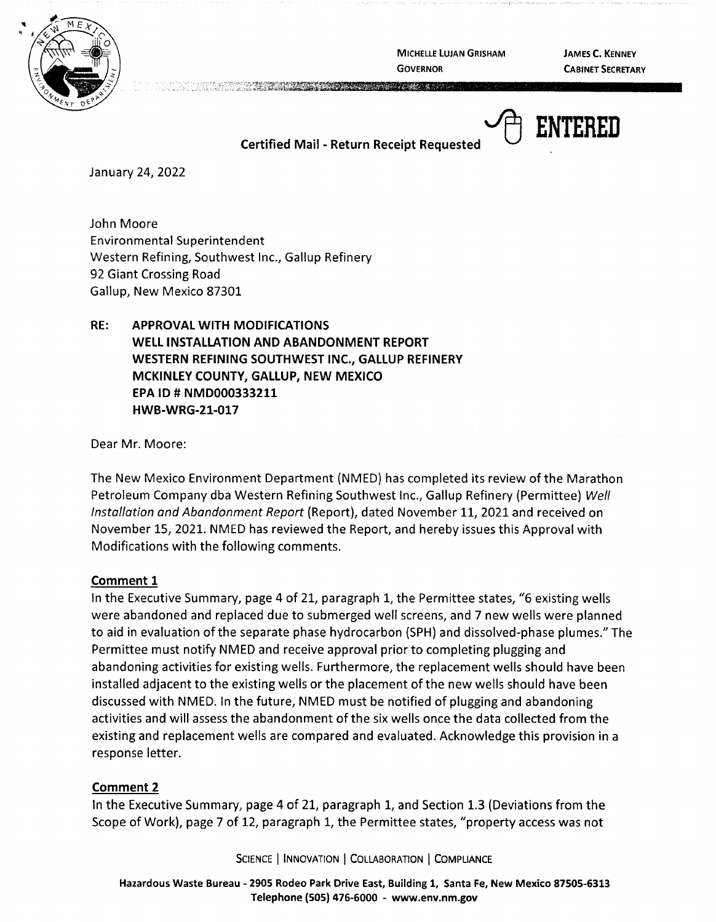

MICHELLE LUJAN GRISHAM **GOVERNOR** 

**JAMES C. KENNEY CABINET SECRETARY** 

**Certified Mail** - **Return Receipt Requested** ~ **ENTERED** 

January 24, 2022

John Moore Environmental Superintendent Western Refining, Southwest Inc., Gallup Refinery 92 Giant Crossing Road Gallup, New Mexico 87301

**RE: APPROVAL WITH MODIFICATIONS WELL INSTALLATION AND ABANDONMENT REPORT WESTERN REFINING SOUTHWEST INC., GALLUP REFINERY MCKINLEY COUNTY, GALLUP, NEW MEXICO EPA** ID# **NMD000333211 HWB-WRG-21-017** 

Dear Mr. Moore:

The New Mexico Environment Department (NMED) has completed its review of the Marathon Petroleum Company dba Western Refining Southwest Inc., Gallup Refinery {Permittee) Well Installation and Abandonment Report {Report), dated November 11, 2021 and received on November 15, 2021. NMED has reviewed the Report, and hereby issues this Approval with Modifications with the following comments.

### **Comment 1**

In the Executive Summary, page 4 of 21, paragraph 1, the Permittee states, "6 existing wells were abandoned and replaced due to submerged well screens, and 7 new wells were planned to aid in evaluation of the separate phase hydrocarbon {SPH) and dissolved-phase plumes." The Permittee must notify NMED and receive approval prior to completing plugging and abandoning activities for existing wells. Furthermore, the replacement wells should have been installed adjacent to the existing wells or the placement of the new wells should have been discussed with NMED. In the future, NMED must be notified of plugging and abandoning activities and will assess the abandonment of the six wells once the data collected from the existing and replacement wells are compared and evaluated. Acknowledge this provision in a response letter.

### **Comment 2**

In the Executive Summary, page 4 of 21, paragraph 1, and Section 1.3 (Deviations from the Scope of Work), page 7 of 12, paragraph 1, the Permittee states, "property access was not

SCIENCE | INNOVATION | COLLABORATION | COMPLIANCE

**Hazardous Waste Bureau** - **2905 Rodeo Park Drive East, Building 1, Santa Fe, New Mexico 87505-6313 Telephone (SOS) 476-6000** - **www.env.nm.gov**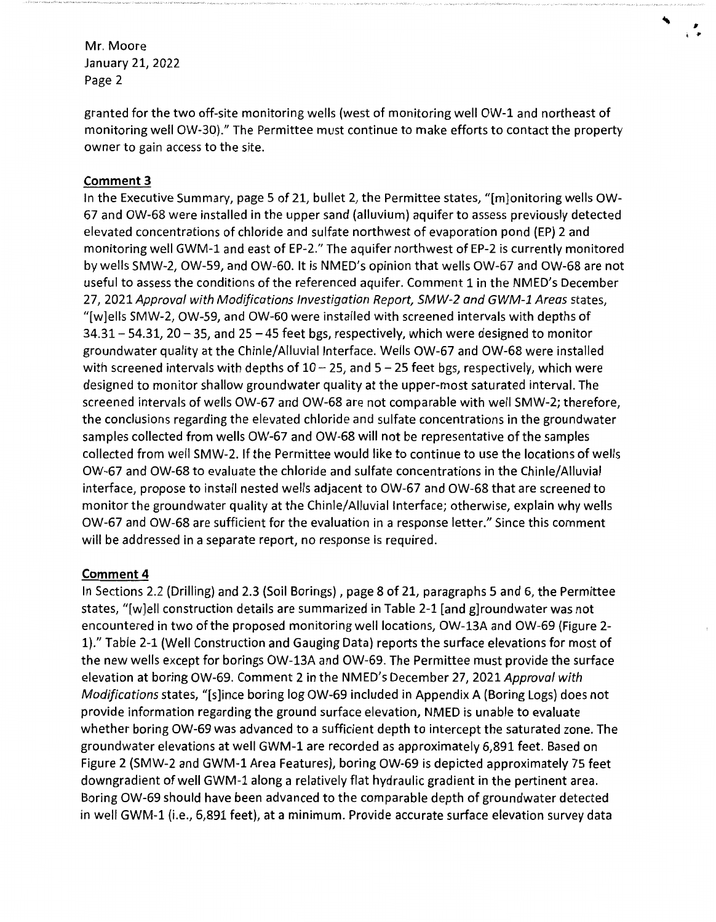granted for the two off-site monitoring wells (west of monitoring well OW-1 and northeast of monitoring well OW-30)." The Permittee must continue to make efforts to contact the property owner to gain access to the site.

,  $\ddot{\ }$ 

# **Comment 3**

In the Executive Summary, page 5 of 21, bullet 2, the Permittee states, "[m]onitoring wells OW-67 and OW-68 were installed in the upper sand (alluvium) aquifer to assess previously detected elevated concentrations of chloride and sulfate northwest of evaporation pond (EP) 2 and monitoring well GWM-1 and east of EP-2." The aquifer northwest of EP-2 is currently monitored by wells SMW-2, OW-59, and OW-60. It is NMED's opinion that wells OW-67 and OW-68 are not useful to assess the conditions of the referenced aquifer. Comment 1 in the NMED's December 27, 2021 Approval with Modifications Investigation Report, SMW-2 and GWM-1 Areas states, "[w]ells SMW-2, OW-59, and OW-60 were installed with screened intervals with depths of  $34.31 - 54.31$ ,  $20 - 35$ , and  $25 - 45$  feet bgs, respectively, which were designed to monitor groundwater quality at the Chinle/Alluvial Interface. Wells OW-67 and OW-68 were installed with screened intervals with depths of  $10 - 25$ , and  $5 - 25$  feet bgs, respectively, which were designed to monitor shallow groundwater quality at the upper-most saturated interval. The screened intervals of wells OW-67 and OW-68 are not comparable with well SMW-2; therefore, the conclusions regarding the elevated chloride and sulfate concentrations in the groundwater samples collected from wells OW-67 and OW-68 will not be representative of the samples collected from well SMW-2. If the Permittee would like to continue to use the locations of wells OW-67 and OW-68 to evaluate the chloride and sulfate concentrations in the Chinle/Alluvial interface, propose to install nested wells adjacent to OW-67 and OW-68 that are screened to monitor the groundwater quality at the Chinle/Alluvial Interface; otherwise, explain why wells OW-67 and OW-68 are sufficient for the evaluation in a response letter." Since this comment will be addressed in a separate report, no response is required.

# **Comment4**

In Sections 2.2 (Drilling) and 2.3 (Soil Borings) , page 8 of 21, paragraphs 5 and 6, the Permittee states, "[w]ell construction details are summarized in Table 2-1 [and g]roundwater was not encountered in two of the proposed monitoring well locations, OW-13A and OW-69 (Figure 2- 1)." Table 2-1 (Well Construction and Gauging Data) reports the surface elevations for most of the new wells except for borings OW-13A and OW-69. The Permittee must provide the surface elevation at boring OW-69. Comment 2 in the NMED's December 27, 2021 Approval with Modifications states, "[s]ince boring log OW-69 included in Appendix A (Boring Logs) does not provide information regarding the ground surface elevation, NMED is unable to evaluate whether boring OW-69 was advanced to a sufficient depth to intercept the saturated zone. The groundwater elevations at well GWM-1 are recorded as approximately 6,891 feet. Based on Figure 2 (SMW-2 and GWM-1 Area Features), boring OW-69 is depicted approximately 75 feet downgradient of well GWM-1 along a relatively flat hydraulic gradient in the pertinent area. Boring OW-69 should have been advanced to the comparable depth of groundwater detected in well GWM-1 (i.e., 6,891 feet), at a minimum. Provide accurate surface elevation survey data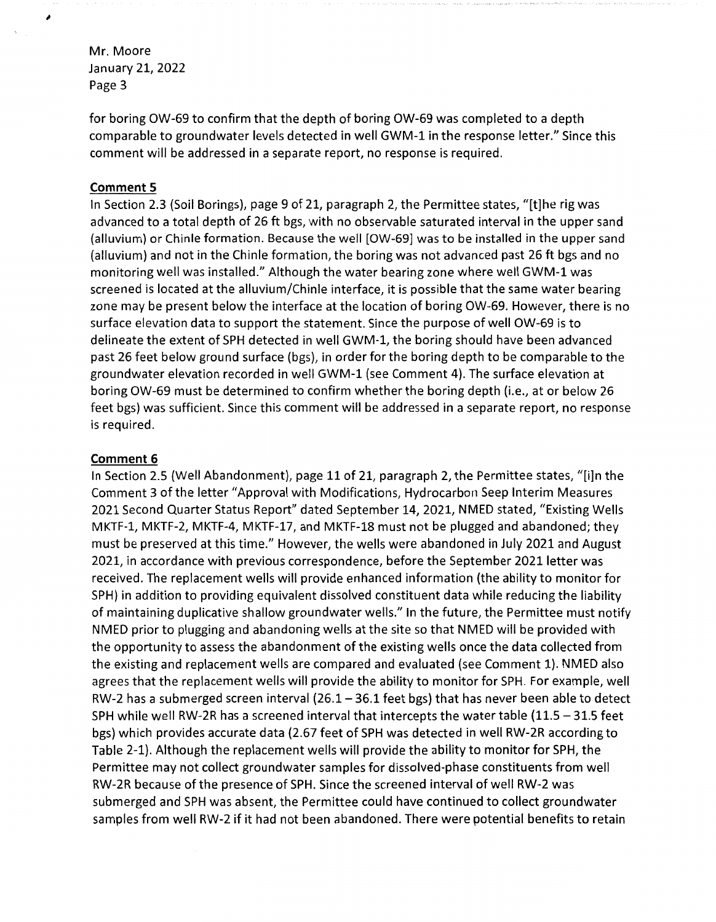,

for boring OW-69 to confirm that the depth of boring OW-69 was completed to a depth comparable to groundwater levels detected in well GWM-1 in the response letter." Since this comment will be addressed in a separate report, no response is required.

#### **Comment 5**

In Section 2.3 (Soil Borings), page 9 of 21, paragraph 2, the Permittee states, "[t]he rig was advanced to a total depth of 26 ft bgs, with no observable saturated interval in the upper sand (alluvium) or Chinle formation. Because the well [OW-69] was to be installed in the upper sand (alluvium) and not in the Chinle formation, the boring was not advanced past 26 ft bgs and no monitoring well was installed." Although the water bearing zone where well GWM-1 was screened is located at the alluvium/Chinle interface, it is possible that the same water bearing zone may be present below the interface at the location of boring OW-69. However, there is no surface elevation data to support the statement. Since the purpose of well OW-69 is to delineate the extent of SPH detected in well GWM-1, the boring should have been advanced past 26 feet below ground surface (bgs), in order for the boring depth to be comparable to the groundwater elevation recorded in well GWM-1 (see Comment 4). The surface elevation at boring OW-69 must be determined to confirm whether the boring depth (i.e., at or below 26 feet bgs) was sufficient. Since this comment will be addressed in a separate report, no response is required.

#### **Comment 6**

In Section 2.5 (Well Abandonment), page 11 of 21, paragraph 2, the Permittee states, "[i]n the Comment 3 of the letter "Approval with Modifications, Hydrocarbon Seep Interim Measures 2021 Second Quarter Status Report" dated September 14, 2021, NMED stated, "Existing Wells MKTF-1, MKTF-2, MKTF-4, MKTF-17, and MKTF-18 must not be plugged and abandoned; they must be preserved at this time." However, the wells were abandoned in July 2021 and August 2021, in accordance with previous correspondence, before the September 2021 letter was received. The replacement wells will provide enhanced information (the ability to monitor for SPH) in addition to providing equivalent dissolved constituent data while reducing the liability of maintaining duplicative shallow groundwater wells." In the future, the Permittee must notify NMED prior to plugging and abandoning wells at the site so that NMED will be provided with the opportunity to assess the abandonment of the existing wells once the data collected from the existing and replacement wells are compared and evaluated (see Comment 1). NMED also agrees that the replacement wells will provide the ability to monitor for SPH. For example, well RW-2 has a submerged screen interval (26.1 - 36.1 feet bgs) that has never been able to detect SPH while well RW-2R has a screened interval that intercepts the water table  $(11.5 - 31.5$  feet bgs) which provides accurate data (2.67 feet of SPH was detected in well RW-2R according to Table 2-1). Although the replacement wells will provide the ability to monitor for SPH, the Permittee may not collect groundwater samples for dissolved-phase constituents from well RW-2R because of the presence of SPH. Since the screened interval of well RW-2 was submerged and SPH was absent, the Permittee could have continued to collect groundwater samples from well RW-2 if it had not been abandoned. There were potential benefits to retain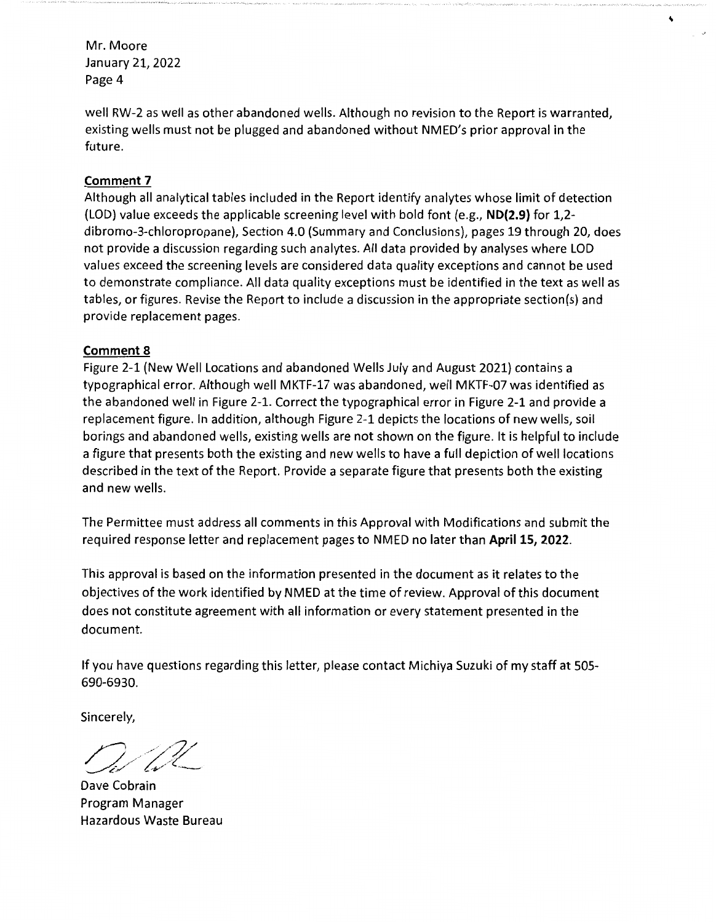well RW-2 as well as other abandoned wells. Although no revision to the Report is warranted, existing wells must not be plugged and abandoned without NMED's prior approval in the future.

## **Comment 7**

Although all analytical tables included in the Report identify analytes whose limit of detection (LOD) value exceeds the applicable screening level with bold font (e.g., **ND(2.9}** for 1,2 dibromo-3-chloropropane), Section 4.0 (Summary and Conclusions), pages 19 through 20, does not provide a discussion regarding such analytes. All data provided by analyses where LOD values exceed the screening levels are considered data quality exceptions and cannot be used to demonstrate compliance. All data quality exceptions must be identified in the text as well as tables, or figures. Revise the Report to include a discussion in the appropriate section(s) and provide replacement pages.

## **Comment 8**

Figure 2-1 (New Well Locations and abandoned Wells July and August 2021) contains a typographical error. Although well MKTF-17 was abandoned, well MKTF-07 was identified as the abandoned well in Figure 2-1. Correct the typographical error in Figure 2-1 and provide a replacement figure. In addition, although Figure 2-1 depicts the locations of new wells, soil borings and abandoned wells, existing wells are not shown on the figure. It is helpful to include a figure that presents both the existing and new wells to have a full depiction of well locations described in the text of the Report. Provide a separate figure that presents both the existing and new wells.

The Permittee must address all comments in this Approval with Modifications and submit the required response letter and replacement pages to NMED no later than **April 15, 2022.** 

This approval is based on the information presented in the document as it relates to the objectives of the work identified by NMED at the time of review. Approval of this document does not constitute agreement with all information or every statement presented in the document.

If you have questions regarding this letter, please contact Michiya Suzuki of my staff at 505- 690-6930.

Sincerely,

Dave Cobrain Program Manager Hazardous Waste Bureau